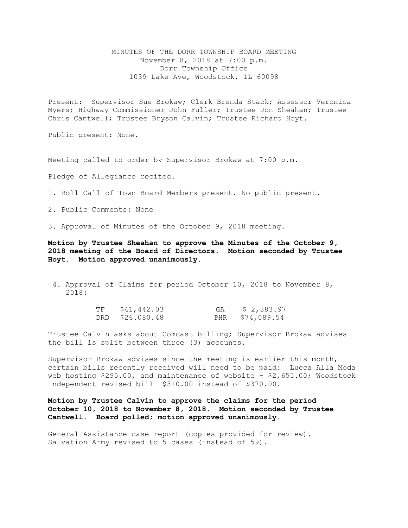MINUTES OF THE DORR TOWNSHIP BOARD MEETING November 8, 2018 at 7:00 p.m. Dorr Township Office 1039 Lake Ave, Woodstock, IL 60098

Present: Supervisor Sue Brokaw; Clerk Brenda Stack; Assessor Veronica Myers; Highway Commissioner John Fuller; Trustee Jon Sheahan; Trustee Chris Cantwell; Trustee Bryson Calvin; Trustee Richard Hoyt.

Public present: None.

Meeting called to order by Supervisor Brokaw at 7:00 p.m.

Pledge of Allegiance recited.

1. Roll Call of Town Board Members present. No public present.

2. Public Comments: None

3. Approval of Minutes of the October 9, 2018 meeting.

**Motion by Trustee Sheahan to approve the Minutes of the October 9, 2018 meeting of the Board of Directors. Motion seconded by Trustee Hoyt. Motion approved unanimously.** 

4. Approval of Claims for period October 10, 2018 to November 8, 2018:

| TF | \$41,442.03     | GA | \$ 2,383.97     |
|----|-----------------|----|-----------------|
|    | DRD \$26.080.48 |    | PHR \$74,089.54 |

Trustee Calvin asks about Comcast billing; Supervisor Brokaw advises the bill is split between three (3) accounts.

Supervisor Brokaw advises since the meeting is earlier this month, certain bills recently received will need to be paid: Lucca Alla Moda web hosting  $$295.00$ , and maintenance of website -  $$2,655.00$ ; Woodstock Independent revised bill \$310.00 instead of \$370.00.

**Motion by Trustee Calvin to approve the claims for the period October 10, 2018 to November 8, 2018. Motion seconded by Trustee Cantwell. Board polled; motion approved unanimously.**

General Assistance case report (copies provided for review). Salvation Army revised to 5 cases (instead of 59).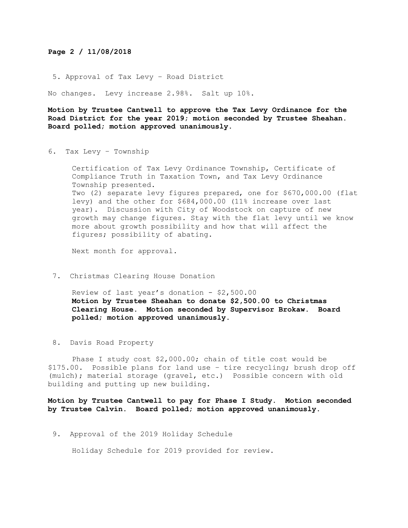## **Page 2 / 11/08/2018**

5. Approval of Tax Levy – Road District

No changes. Levy increase 2.98%. Salt up 10%.

**Motion by Trustee Cantwell to approve the Tax Levy Ordinance for the Road District for the year 2019; motion seconded by Trustee Sheahan. Board polled; motion approved unanimously.**

6. Tax Levy – Township

Certification of Tax Levy Ordinance Township, Certificate of Compliance Truth in Taxation Town, and Tax Levy Ordinance Township presented. Two (2) separate levy figures prepared, one for \$670,000.00 (flat levy) and the other for \$684,000.00 (11% increase over last year). Discussion with City of Woodstock on capture of new growth may change figures. Stay with the flat levy until we know more about growth possibility and how that will affect the figures; possibility of abating.

Next month for approval.

7. Christmas Clearing House Donation

Review of last year's donation - \$2,500.00 **Motion by Trustee Sheahan to donate \$2,500.00 to Christmas Clearing House. Motion seconded by Supervisor Brokaw. Board polled; motion approved unanimously.** 

8. Davis Road Property

Phase I study cost \$2,000.00; chain of title cost would be \$175.00. Possible plans for land use – tire recycling; brush drop off (mulch); material storage (gravel, etc.) Possible concern with old building and putting up new building.

**Motion by Trustee Cantwell to pay for Phase I Study. Motion seconded by Trustee Calvin. Board polled; motion approved unanimously.**

9. Approval of the 2019 Holiday Schedule

Holiday Schedule for 2019 provided for review.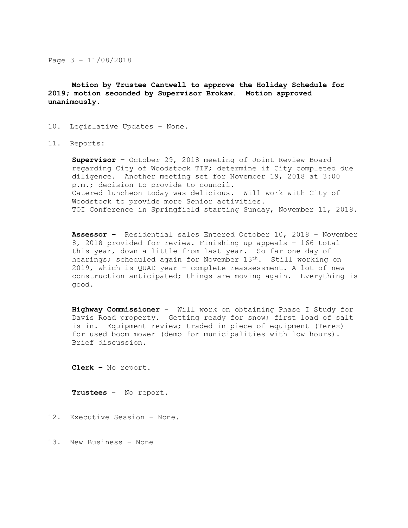Page 3 – 11/08/2018

**Motion by Trustee Cantwell to approve the Holiday Schedule for 2019; motion seconded by Supervisor Brokaw. Motion approved unanimously.**

## 10. Legislative Updates – None.

11. Reports:

**Supervisor –** October 29, 2018 meeting of Joint Review Board regarding City of Woodstock TIF; determine if City completed due diligence. Another meeting set for November 19, 2018 at 3:00 p.m.; decision to provide to council. Catered luncheon today was delicious. Will work with City of Woodstock to provide more Senior activities. TOI Conference in Springfield starting Sunday, November 11, 2018.

**Assessor –** Residential sales Entered October 10, 2018 – November 8, 2018 provided for review. Finishing up appeals – 166 total this year, down a little from last year. So far one day of hearings; scheduled again for November 13<sup>th</sup>. Still working on 2019, which is QUAD year – complete reassessment. A lot of new construction anticipated; things are moving again. Everything is good.

**Highway Commissioner** – Will work on obtaining Phase I Study for Davis Road property. Getting ready for snow; first load of salt is in. Equipment review; traded in piece of equipment (Terex) for used boom mower (demo for municipalities with low hours). Brief discussion.

**Clerk –** No report**.** 

**Trustees** – No report.

12. Executive Session – None.

13. New Business – None